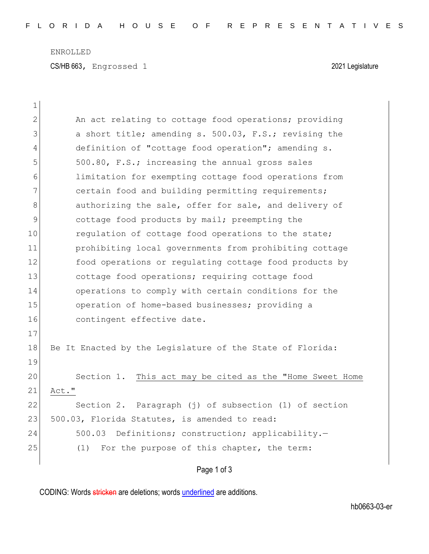ENROLLED

CS/HB 663, Engrossed 1 2021 Legislature

| $\mathbf 1$   |                                                           |
|---------------|-----------------------------------------------------------|
| $\mathbf{2}$  | An act relating to cottage food operations; providing     |
| 3             | a short title; amending s. 500.03, F.S.; revising the     |
| 4             | definition of "cottage food operation"; amending s.       |
| 5             | 500.80, F.S.; increasing the annual gross sales           |
| 6             | limitation for exempting cottage food operations from     |
| 7             | certain food and building permitting requirements;        |
| 8             | authorizing the sale, offer for sale, and delivery of     |
| $\mathcal{G}$ | cottage food products by mail; preempting the             |
| 10            | requlation of cottage food operations to the state;       |
| 11            | prohibiting local governments from prohibiting cottage    |
| 12            | food operations or regulating cottage food products by    |
| 13            | cottage food operations; requiring cottage food           |
| 14            | operations to comply with certain conditions for the      |
| 15            | operation of home-based businesses; providing a           |
| 16            | contingent effective date.                                |
| 17            |                                                           |
| 18            | Be It Enacted by the Legislature of the State of Florida: |
| 19            |                                                           |
| 20            | Section 1. This act may be cited as the "Home Sweet Home  |
| 21            | Act."                                                     |
| 22            | Section 2. Paragraph (j) of subsection (1) of section     |
| 23            | 500.03, Florida Statutes, is amended to read:             |
| 24            | 500.03 Definitions; construction; applicability.-         |
| 25            | (1)<br>For the purpose of this chapter, the term:         |
|               |                                                           |

Page 1 of 3

CODING: Words stricken are deletions; words underlined are additions.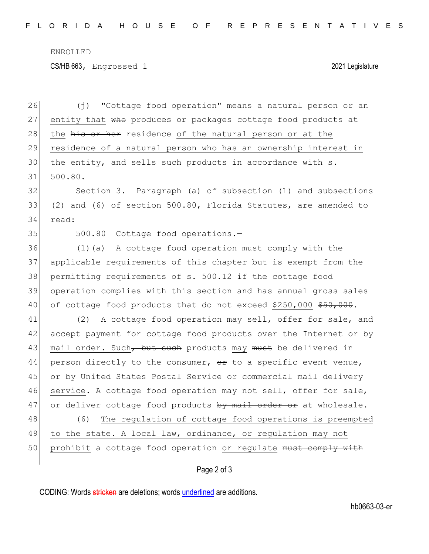ENROLLED

CS/HB 663, Engrossed 1 2021 Legislature

26 (j) "Cottage food operation" means a natural person or an 27 entity that  $\theta$  produces or packages cottage food products at 28 the his or her residence of the natural person or at the 29 residence of a natural person who has an ownership interest in 30 the entity, and sells such products in accordance with s. 31 500.80. 32 Section 3. Paragraph (a) of subsection (1) and subsections 33 (2) and (6) of section 500.80, Florida Statutes, are amended to 34 read: 35 500.80 Cottage food operations. 36 (1)(a) A cottage food operation must comply with the 37 applicable requirements of this chapter but is exempt from the 38 permitting requirements of s. 500.12 if the cottage food 39 operation complies with this section and has annual gross sales 40 of cottage food products that do not exceed \$250,000 \$50,000. 41 (2) A cottage food operation may sell, offer for sale, and 42 accept payment for cottage food products over the Internet or by 43 mail order. Such, but such products may must be delivered in 44 person directly to the consumer,  $\theta$  to a specific event venue, 45 or by United States Postal Service or commercial mail delivery 46 service. A cottage food operation may not sell, offer for sale, 47 or deliver cottage food products by mail order or at wholesale. 48 (6) The regulation of cottage food operations is preempted 49 to the state. A local law, ordinance, or regulation may not 50 prohibit a cottage food operation or regulate must comply with

Page 2 of 3

CODING: Words stricken are deletions; words underlined are additions.